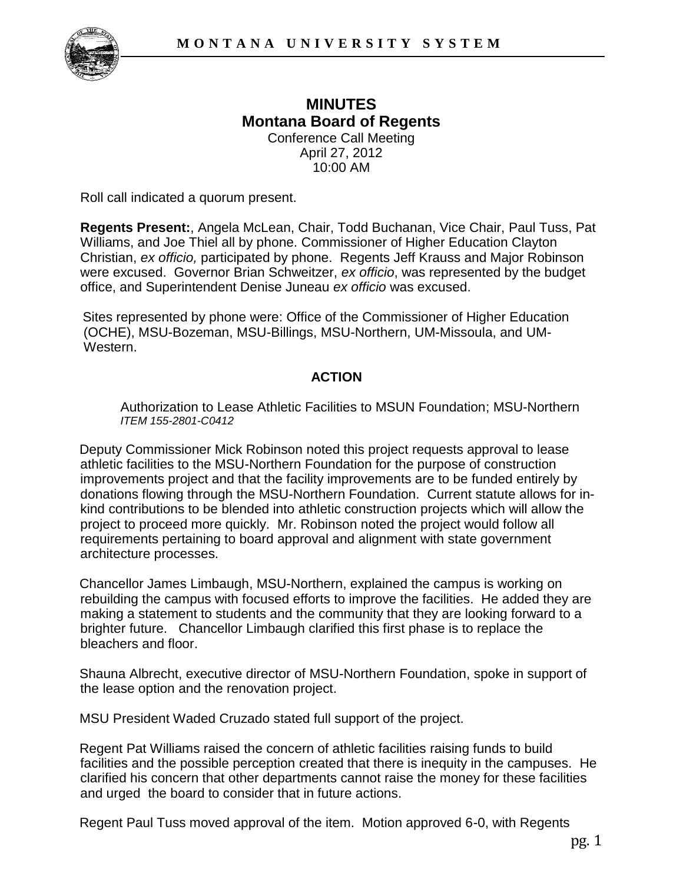

## **MINUTES Montana Board of Regents**  Conference Call Meeting April 27, 2012 10:00 AM

Roll call indicated a quorum present.

**Regents Present:**, Angela McLean, Chair, Todd Buchanan, Vice Chair, Paul Tuss, Pat Williams, and Joe Thiel all by phone. Commissioner of Higher Education Clayton Christian, *ex officio,* participated by phone. Regents Jeff Krauss and Major Robinson were excused. Governor Brian Schweitzer, *ex officio*, was represented by the budget office, and Superintendent Denise Juneau *ex officio* was excused.

Sites represented by phone were: Office of the Commissioner of Higher Education (OCHE), MSU-Bozeman, MSU-Billings, MSU-Northern, UM-Missoula, and UM-Western.

## **ACTION**

Authorization to Lease Athletic Facilities to MSUN Foundation; MSU-Northern *ITEM 155-2801-C0412*

Deputy Commissioner Mick Robinson noted this project requests approval to lease athletic facilities to the MSU-Northern Foundation for the purpose of construction improvements project and that the facility improvements are to be funded entirely by donations flowing through the MSU-Northern Foundation. Current statute allows for inkind contributions to be blended into athletic construction projects which will allow the project to proceed more quickly. Mr. Robinson noted the project would follow all requirements pertaining to board approval and alignment with state government architecture processes.

Chancellor James Limbaugh, MSU-Northern, explained the campus is working on rebuilding the campus with focused efforts to improve the facilities. He added they are making a statement to students and the community that they are looking forward to a brighter future. Chancellor Limbaugh clarified this first phase is to replace the bleachers and floor.

Shauna Albrecht, executive director of MSU-Northern Foundation, spoke in support of the lease option and the renovation project.

MSU President Waded Cruzado stated full support of the project.

Regent Pat Williams raised the concern of athletic facilities raising funds to build facilities and the possible perception created that there is inequity in the campuses. He clarified his concern that other departments cannot raise the money for these facilities and urged the board to consider that in future actions.

Regent Paul Tuss moved approval of the item. Motion approved 6-0, with Regents